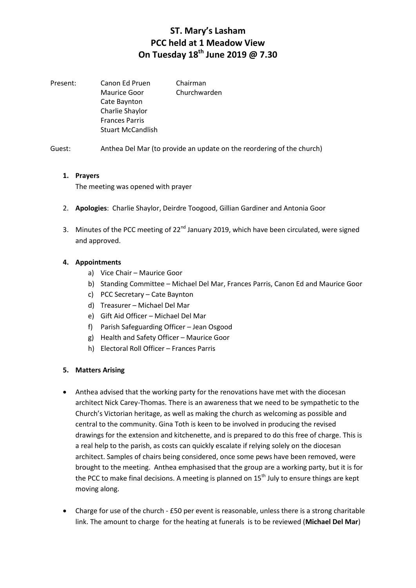Present: Canon Ed Pruen Chairman Maurice Goor Churchwarden Cate Baynton Charlie Shaylor Frances Parris Stuart McCandlish

Guest: Anthea Del Mar (to provide an update on the reordering of the church)

#### **1. Prayers**

The meeting was opened with prayer

- 2. **Apologies**: Charlie Shaylor, Deirdre Toogood, Gillian Gardiner and Antonia Goor
- 3. Minutes of the PCC meeting of 22<sup>nd</sup> January 2019, which have been circulated, were signed and approved.

#### **4. Appointments**

- a) Vice Chair Maurice Goor
- b) Standing Committee Michael Del Mar, Frances Parris, Canon Ed and Maurice Goor
- c) PCC Secretary Cate Baynton
- d) Treasurer Michael Del Mar
- e) Gift Aid Officer Michael Del Mar
- f) Parish Safeguarding Officer Jean Osgood
- g) Health and Safety Officer Maurice Goor
- h) Electoral Roll Officer Frances Parris

#### **5. Matters Arising**

- Anthea advised that the working party for the renovations have met with the diocesan architect Nick Carey-Thomas. There is an awareness that we need to be sympathetic to the Church's Victorian heritage, as well as making the church as welcoming as possible and central to the community. Gina Toth is keen to be involved in producing the revised drawings for the extension and kitchenette, and is prepared to do this free of charge. This is a real help to the parish, as costs can quickly escalate if relying solely on the diocesan architect. Samples of chairs being considered, once some pews have been removed, were brought to the meeting. Anthea emphasised that the group are a working party, but it is for the PCC to make final decisions. A meeting is planned on  $15<sup>th</sup>$  July to ensure things are kept moving along.
- Charge for use of the church £50 per event is reasonable, unless there is a strong charitable link. The amount to charge for the heating at funerals is to be reviewed (**Michael Del Mar**)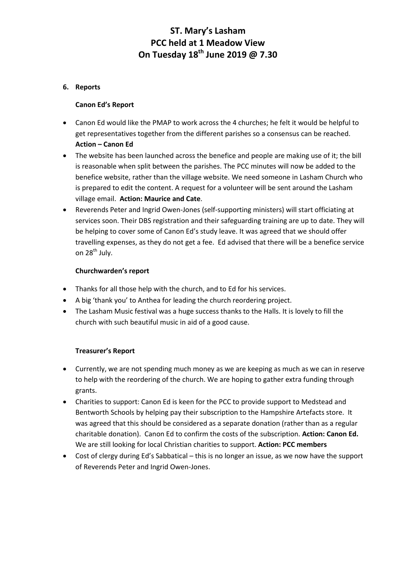### **6. Reports**

#### **Canon Ed's Report**

- Canon Ed would like the PMAP to work across the 4 churches; he felt it would be helpful to get representatives together from the different parishes so a consensus can be reached. **Action – Canon Ed**
- The website has been launched across the benefice and people are making use of it; the bill is reasonable when split between the parishes. The PCC minutes will now be added to the benefice website, rather than the village website. We need someone in Lasham Church who is prepared to edit the content. A request for a volunteer will be sent around the Lasham village email. **Action: Maurice and Cate**.
- Reverends Peter and Ingrid Owen-Jones (self-supporting ministers) will start officiating at services soon. Their DBS registration and their safeguarding training are up to date. They will be helping to cover some of Canon Ed's study leave. It was agreed that we should offer travelling expenses, as they do not get a fee. Ed advised that there will be a benefice service on 28<sup>th</sup> July.

#### **Churchwarden's report**

- Thanks for all those help with the church, and to Ed for his services.
- A big 'thank you' to Anthea for leading the church reordering project.
- The Lasham Music festival was a huge success thanks to the Halls. It is lovely to fill the church with such beautiful music in aid of a good cause.

### **Treasurer's Report**

- Currently, we are not spending much money as we are keeping as much as we can in reserve to help with the reordering of the church. We are hoping to gather extra funding through grants.
- Charities to support: Canon Ed is keen for the PCC to provide support to Medstead and Bentworth Schools by helping pay their subscription to the Hampshire Artefacts store. It was agreed that this should be considered as a separate donation (rather than as a regular charitable donation). Canon Ed to confirm the costs of the subscription. **Action: Canon Ed.**  We are still looking for local Christian charities to support. **Action: PCC members**
- Cost of clergy during Ed's Sabbatical this is no longer an issue, as we now have the support of Reverends Peter and Ingrid Owen-Jones.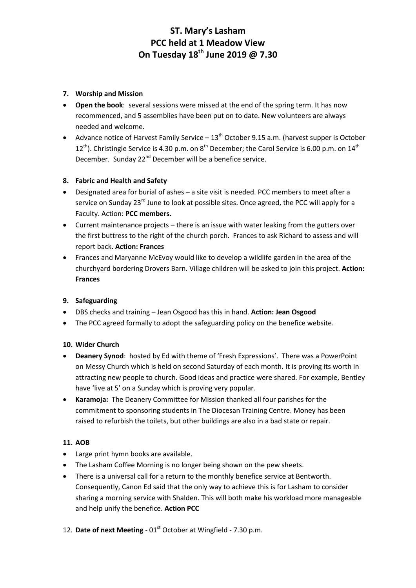## **7. Worship and Mission**

- **Open the book**: several sessions were missed at the end of the spring term. It has now recommenced, and 5 assemblies have been put on to date. New volunteers are always needed and welcome.
- Advance notice of Harvest Family Service  $-13<sup>th</sup>$  October 9.15 a.m. (harvest supper is October 12<sup>th</sup>). Christingle Service is 4.30 p.m. on 8<sup>th</sup> December; the Carol Service is 6.00 p.m. on 14<sup>th</sup> December. Sunday 22<sup>nd</sup> December will be a benefice service.

## **8. Fabric and Health and Safety**

- Designated area for burial of ashes a site visit is needed. PCC members to meet after a service on Sunday 23<sup>rd</sup> June to look at possible sites. Once agreed, the PCC will apply for a Faculty. Action: **PCC members.**
- Current maintenance projects there is an issue with water leaking from the gutters over the first buttress to the right of the church porch. Frances to ask Richard to assess and will report back. **Action: Frances**
- Frances and Maryanne McEvoy would like to develop a wildlife garden in the area of the churchyard bordering Drovers Barn. Village children will be asked to join this project. **Action: Frances**

## **9. Safeguarding**

- DBS checks and training Jean Osgood has this in hand. **Action: Jean Osgood**
- The PCC agreed formally to adopt the safeguarding policy on the benefice website.

### **10. Wider Church**

- **Deanery Synod**: hosted by Ed with theme of 'Fresh Expressions'. There was a PowerPoint on Messy Church which is held on second Saturday of each month. It is proving its worth in attracting new people to church. Good ideas and practice were shared. For example, Bentley have 'live at 5' on a Sunday which is proving very popular.
- **Karamoja:** The Deanery Committee for Mission thanked all four parishes for the commitment to sponsoring students in The Diocesan Training Centre. Money has been raised to refurbish the toilets, but other buildings are also in a bad state or repair.

### **11. AOB**

- Large print hymn books are available.
- The Lasham Coffee Morning is no longer being shown on the pew sheets.
- There is a universal call for a return to the monthly benefice service at Bentworth. Consequently, Canon Ed said that the only way to achieve this is for Lasham to consider sharing a morning service with Shalden. This will both make his workload more manageable and help unify the benefice. **Action PCC**
- 12. Date of next Meeting 01<sup>st</sup> October at Wingfield 7.30 p.m.